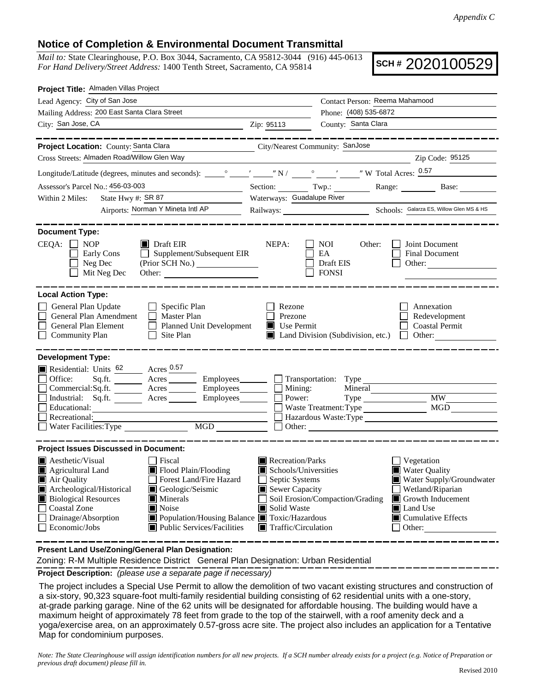## **Notice of Completion & Environmental Document Transmittal**

*Mail to:* State Clearinghouse, P.O. Box 3044, Sacramento, CA 95812-3044 (916) 445-0613 *For Hand Delivery/Street Address:* 1400 Tenth Street, Sacramento, CA 95814

**SCH #** 2020100529

| Project Title: Almaden Villas Project                                                                                                                                                                                                                                                                                                                                                                                                                                                |                                                                                              |                                                        |                                                                                                         |
|--------------------------------------------------------------------------------------------------------------------------------------------------------------------------------------------------------------------------------------------------------------------------------------------------------------------------------------------------------------------------------------------------------------------------------------------------------------------------------------|----------------------------------------------------------------------------------------------|--------------------------------------------------------|---------------------------------------------------------------------------------------------------------|
| Lead Agency: City of San Jose                                                                                                                                                                                                                                                                                                                                                                                                                                                        |                                                                                              | Contact Person: Reema Mahamood                         |                                                                                                         |
| Mailing Address: 200 East Santa Clara Street                                                                                                                                                                                                                                                                                                                                                                                                                                         |                                                                                              | Phone: (408) 535-6872                                  |                                                                                                         |
| City: San Jose, CA                                                                                                                                                                                                                                                                                                                                                                                                                                                                   | Zip: 95113                                                                                   | County: Santa Clara                                    |                                                                                                         |
|                                                                                                                                                                                                                                                                                                                                                                                                                                                                                      |                                                                                              |                                                        |                                                                                                         |
| Project Location: County: Santa Clara                                                                                                                                                                                                                                                                                                                                                                                                                                                | City/Nearest Community: SanJose                                                              |                                                        |                                                                                                         |
| Cross Streets: Almaden Road/Willow Glen Way                                                                                                                                                                                                                                                                                                                                                                                                                                          |                                                                                              |                                                        | Zip Code: 95125                                                                                         |
|                                                                                                                                                                                                                                                                                                                                                                                                                                                                                      |                                                                                              |                                                        |                                                                                                         |
| Assessor's Parcel No.: 456-03-003<br>the control of the control of the control of                                                                                                                                                                                                                                                                                                                                                                                                    |                                                                                              | Section: Twp.: Range: Base: Base:                      |                                                                                                         |
| State Hwy #: $SR 87$<br>Within 2 Miles:                                                                                                                                                                                                                                                                                                                                                                                                                                              | Waterways: Guadalupe River                                                                   |                                                        |                                                                                                         |
| Airports: Norman Y Mineta Intl AP                                                                                                                                                                                                                                                                                                                                                                                                                                                    |                                                                                              |                                                        |                                                                                                         |
| <b>Document Type:</b><br>$CEQA: \Box NP$<br>$\blacksquare$ Draft EIR                                                                                                                                                                                                                                                                                                                                                                                                                 | NEPA:                                                                                        | NOI DOM<br>Other:                                      | Joint Document                                                                                          |
| $\Box$ Supplement/Subsequent EIR<br>Early Cons<br>Neg Dec<br>Mit Neg Dec<br>Other:                                                                                                                                                                                                                                                                                                                                                                                                   |                                                                                              | EA<br>Draft EIS<br><b>FONSI</b>                        | <b>Final Document</b><br>Other:                                                                         |
| <b>Local Action Type:</b>                                                                                                                                                                                                                                                                                                                                                                                                                                                            |                                                                                              |                                                        |                                                                                                         |
| General Plan Update<br>$\Box$ Specific Plan<br>General Plan Amendment<br>Master Plan<br>$\Box$<br>General Plan Element<br>Planned Unit Development<br>$\Box$<br>$\Box$ Site Plan<br><b>Community Plan</b>                                                                                                                                                                                                                                                                            | Rezone<br>Prezone<br>Use Permit                                                              | $\Box$ Land Division (Subdivision, etc.) $\Box$ Other: | Annexation<br>Redevelopment<br><b>Coastal Permit</b>                                                    |
| <b>Development Type:</b><br>Residential: Units 62 Acres 0.57<br>Office:<br>Sq.ft. ________ Acres _________ Employees _______ __ Transportation: Type _______<br>Commercial: Sq.ft. $\overline{\phantom{a}}$ Acres $\overline{\phantom{a}}$ Employees $\overline{\phantom{a}}$ Mining:<br>Industrial: Sq.ft. $\overline{\phantom{a}}$ Acres $\overline{\phantom{a}}$ Employees $\overline{\phantom{a}}$ Power:<br>Industrial: Sq.ft. Acres Employees<br>Educational:<br>Recreational: |                                                                                              | Mineral<br>Type MW<br>Hazardous Waste: Type            | MGD                                                                                                     |
| MGD<br>$\Box$<br>Water Facilities: Type                                                                                                                                                                                                                                                                                                                                                                                                                                              | Other:                                                                                       |                                                        |                                                                                                         |
| <b>Project Issues Discussed in Document:</b><br><b>A</b> esthetic/Visual<br>l Fiscal<br>Flood Plain/Flooding<br>Agricultural Land<br>Forest Land/Fire Hazard<br>$\blacksquare$ Air Quality<br>Archeological/Historical<br>Geologic/Seismic<br><b>Biological Resources</b><br>$\blacksquare$ Minerals                                                                                                                                                                                 | Recreation/Parks<br>Schools/Universities<br>Septic Systems<br>$\mathsf{L}$<br>Sewer Capacity | Soil Erosion/Compaction/Grading                        | Vegetation<br><b>Water Quality</b><br>Water Supply/Groundwater<br>Wetland/Riparian<br>Growth Inducement |
| П<br><b>Coastal Zone</b><br>$\blacksquare$ Noise<br>$\Box$<br>Drainage/Absorption<br>■ Population/Housing Balance ■ Toxic/Hazardous<br>Public Services/Facilities<br>Economic/Jobs                                                                                                                                                                                                                                                                                                   | Solid Waste<br>$\blacksquare$ Traffic/Circulation                                            |                                                        | <b>■</b> Land Use<br>$\blacksquare$ Cumulative Effects<br>Other:                                        |

**Present Land Use/Zoning/General Plan Designation:**

Zoning: R-M Multiple Residence District General Plan Designation: Urban Residential

**Project Description:** *(please use a separate page if necessary)*

 The project includes a Special Use Permit to allow the demolition of two vacant existing structures and construction of a six-story, 90,323 square-foot multi-family residential building consisting of 62 residential units with a one-story, at-grade parking garage. Nine of the 62 units will be designated for affordable housing. The building would have a maximum height of approximately 78 feet from grade to the top of the stairwell, with a roof amenity deck and a yoga/exercise area, on an approximately 0.57-gross acre site. The project also includes an application for a Tentative Map for condominium purposes.

*Note: The State Clearinghouse will assign identification numbers for all new projects. If a SCH number already exists for a project (e.g. Notice of Preparation or previous draft document) please fill in.*